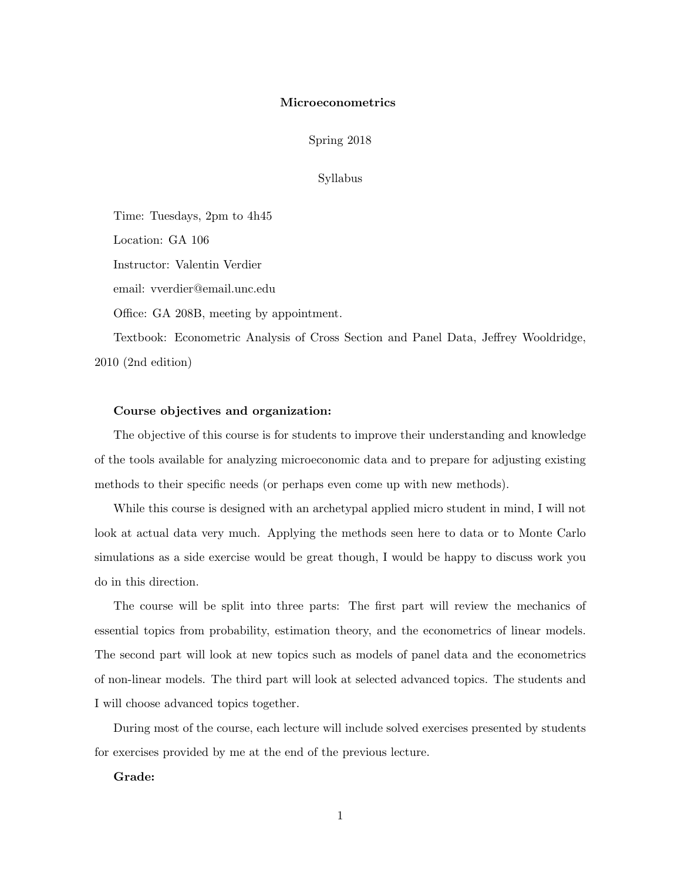### Microeconometrics

Spring 2018

## Syllabus

Time: Tuesdays, 2pm to 4h45 Location: GA 106 Instructor: Valentin Verdier email: vverdier@email.unc.edu Office: GA 208B, meeting by appointment. Textbook: Econometric Analysis of Cross Section and Panel Data, Jeffrey Wooldridge,

2010 (2nd edition)

#### Course objectives and organization:

The objective of this course is for students to improve their understanding and knowledge of the tools available for analyzing microeconomic data and to prepare for adjusting existing methods to their specific needs (or perhaps even come up with new methods).

While this course is designed with an archetypal applied micro student in mind, I will not look at actual data very much. Applying the methods seen here to data or to Monte Carlo simulations as a side exercise would be great though, I would be happy to discuss work you do in this direction.

The course will be split into three parts: The first part will review the mechanics of essential topics from probability, estimation theory, and the econometrics of linear models. The second part will look at new topics such as models of panel data and the econometrics of non-linear models. The third part will look at selected advanced topics. The students and I will choose advanced topics together.

During most of the course, each lecture will include solved exercises presented by students for exercises provided by me at the end of the previous lecture.

# Grade: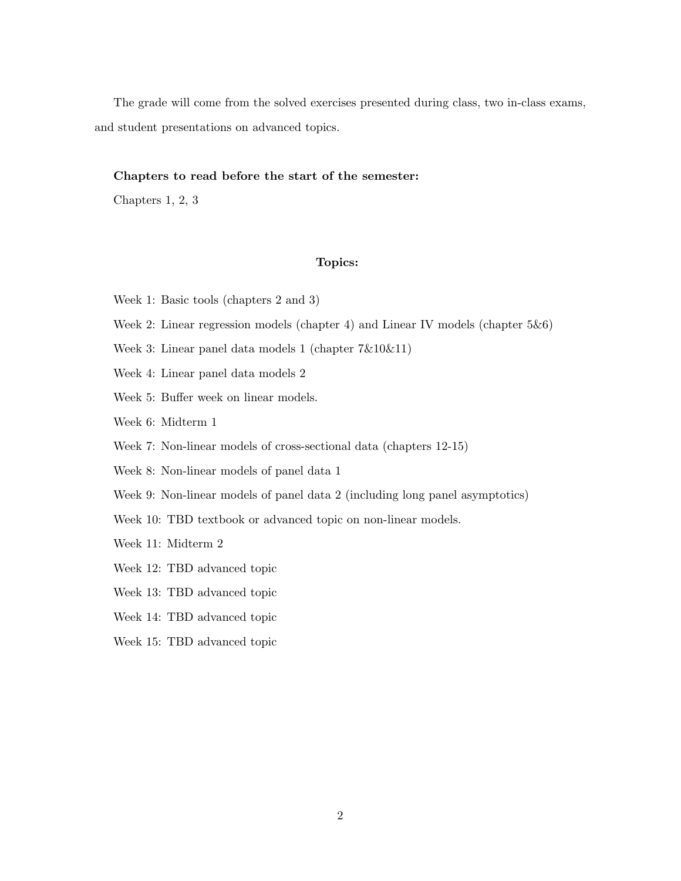The grade will come from the solved exercises presented during class, two in-class exams, and student presentations on advanced topics.

#### Chapters to read before the start of the semester:

Chapters 1, 2, 3

## Topics:

- Week 1: Basic tools (chapters 2 and 3)
- Week 2: Linear regression models (chapter 4) and Linear IV models (chapter 5&6)
- Week 3: Linear panel data models 1 (chapter 7&10&11)
- Week 4: Linear panel data models 2
- Week 5: Buffer week on linear models.
- Week 6: Midterm 1
- Week 7: Non-linear models of cross-sectional data (chapters 12-15)
- Week 8: Non-linear models of panel data 1
- Week 9: Non-linear models of panel data 2 (including long panel asymptotics)
- Week 10: TBD textbook or advanced topic on non-linear models.
- Week 11: Midterm 2
- Week 12: TBD advanced topic
- Week 13: TBD advanced topic
- Week 14: TBD advanced topic
- Week 15: TBD advanced topic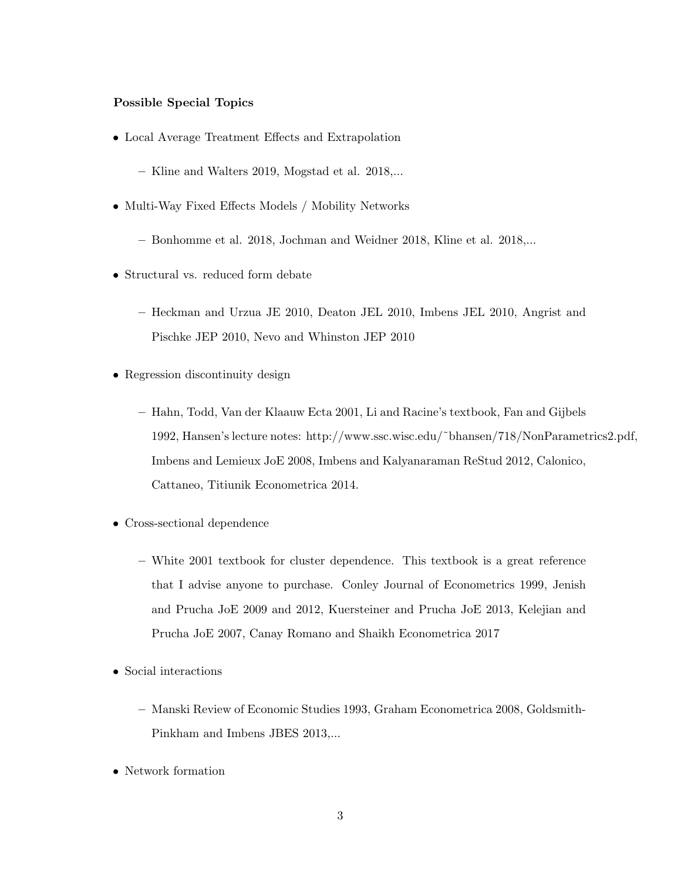# Possible Special Topics

- Local Average Treatment Effects and Extrapolation
	- Kline and Walters 2019, Mogstad et al. 2018,...
- Multi-Way Fixed Effects Models / Mobility Networks
	- Bonhomme et al. 2018, Jochman and Weidner 2018, Kline et al. 2018,...
- Structural vs. reduced form debate
	- Heckman and Urzua JE 2010, Deaton JEL 2010, Imbens JEL 2010, Angrist and Pischke JEP 2010, Nevo and Whinston JEP 2010
- Regression discontinuity design
	- Hahn, Todd, Van der Klaauw Ecta 2001, Li and Racine's textbook, Fan and Gijbels 1992, Hansen's lecture notes: http://www.ssc.wisc.edu/˜bhansen/718/NonParametrics2.pdf, Imbens and Lemieux JoE 2008, Imbens and Kalyanaraman ReStud 2012, Calonico, Cattaneo, Titiunik Econometrica 2014.
- Cross-sectional dependence
	- White 2001 textbook for cluster dependence. This textbook is a great reference that I advise anyone to purchase. Conley Journal of Econometrics 1999, Jenish and Prucha JoE 2009 and 2012, Kuersteiner and Prucha JoE 2013, Kelejian and Prucha JoE 2007, Canay Romano and Shaikh Econometrica 2017
- Social interactions
	- Manski Review of Economic Studies 1993, Graham Econometrica 2008, Goldsmith-Pinkham and Imbens JBES 2013,...
- Network formation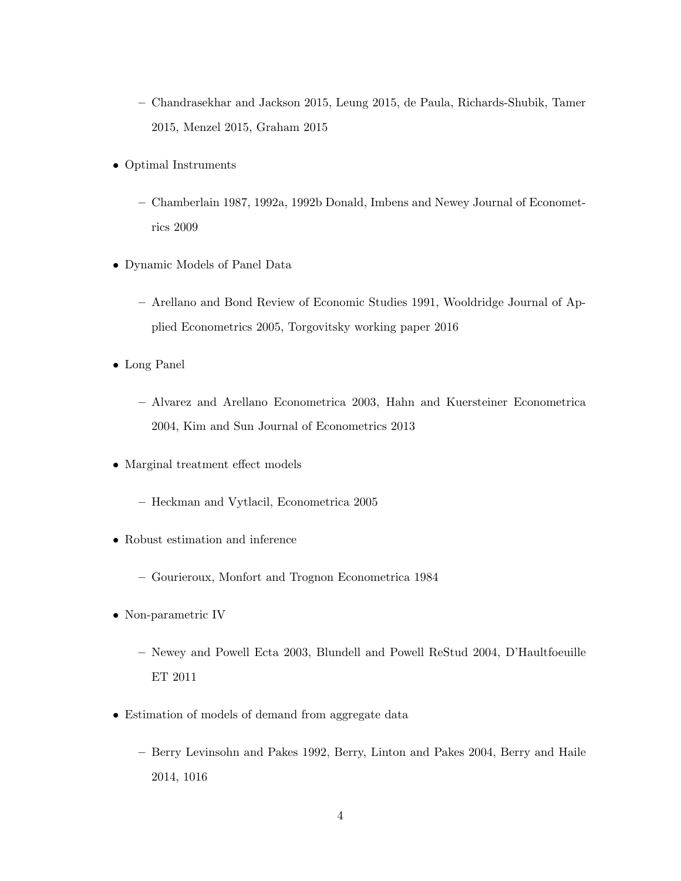- Chandrasekhar and Jackson 2015, Leung 2015, de Paula, Richards-Shubik, Tamer 2015, Menzel 2015, Graham 2015
- Optimal Instruments
	- Chamberlain 1987, 1992a, 1992b Donald, Imbens and Newey Journal of Econometrics 2009
- Dynamic Models of Panel Data
	- Arellano and Bond Review of Economic Studies 1991, Wooldridge Journal of Applied Econometrics 2005, Torgovitsky working paper 2016
- Long Panel
	- Alvarez and Arellano Econometrica 2003, Hahn and Kuersteiner Econometrica 2004, Kim and Sun Journal of Econometrics 2013
- Marginal treatment effect models
	- Heckman and Vytlacil, Econometrica 2005
- Robust estimation and inference
	- Gourieroux, Monfort and Trognon Econometrica 1984
- Non-parametric IV
	- Newey and Powell Ecta 2003, Blundell and Powell ReStud 2004, D'Haultfoeuille ET 2011
- Estimation of models of demand from aggregate data
	- Berry Levinsohn and Pakes 1992, Berry, Linton and Pakes 2004, Berry and Haile 2014, 1016